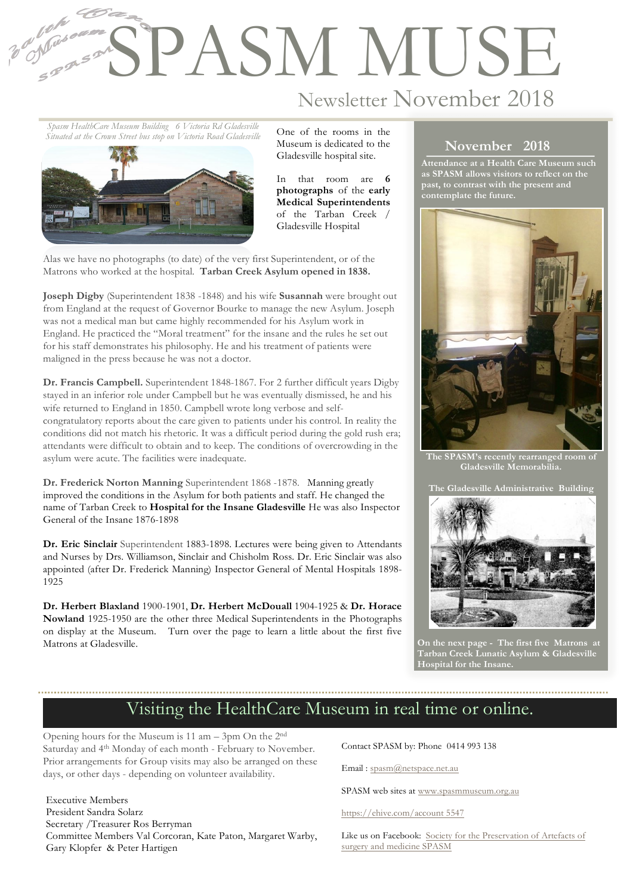## **SPASM MUSE**

Newsletter November 2018

*Spasm HealthCare Museum Building 6 Victoria Rd Gladesville Situated at the Crown Street bus stop on Victoria Road Gladesville*

1

2



One of the rooms in the Museum is dedicated to the Gladesville hospital site.

In that room are **6 photographs** of the **early Medical Superintendents** of the Tarban Creek / Gladesville Hospital

Alas we have no photographs (to date) of the very first Superintendent, or of the Matrons who worked at the hospital. **Tarban Creek Asylum opened in 1838.**

**Joseph Digby** (Superintendent 1838 -1848) and his wife **Susannah** were brought out from England at the request of Governor Bourke to manage the new Asylum. Joseph was not a medical man but came highly recommended for his Asylum work in England. He practiced the "Moral treatment" for the insane and the rules he set out for his staff demonstrates his philosophy. He and his treatment of patients were maligned in the press because he was not a doctor.

**Dr. Francis Campbell.** Superintendent 1848-1867. For 2 further difficult years Digby stayed in an inferior role under Campbell but he was eventually dismissed, he and his wife returned to England in 1850. Campbell wrote long verbose and selfcongratulatory reports about the care given to patients under his control. In reality the conditions did not match his rhetoric. It was a difficult period during the gold rush era; attendants were difficult to obtain and to keep. The conditions of overcrowding in the asylum were acute. The facilities were inadequate.

**Dr. Frederick Norton Manning** Superintendent 1868 -1878. Manning greatly improved the conditions in the Asylum for both patients and staff. He changed the name of Tarban Creek to **Hospital for the Insane Gladesville** He was also Inspector General of the Insane 1876-1898

**Dr. Eric Sinclair** Superintendent 1883-1898. Lectures were being given to Attendants and Nurses by Drs. Williamson, Sinclair and Chisholm Ross. Dr. Eric Sinclair was also appointed (after Dr. Frederick Manning) Inspector General of Mental Hospitals 1898- 1925

**Dr. Herbert Blaxland** 1900-1901, **Dr. Herbert McDouall** 1904-1925 & **Dr. Horace Nowland** 1925-1950 are the other three Medical Superintendents in the Photographs on display at the Museum. Turn over the page to learn a little about the first five Matrons at Gladesville.

## **November 2018**

**Attendance at a Health Care Museum such as SPASM allows visitors to reflect on the past, to contrast with the present and contemplate the future.** 



**The SPASM's recently rearranged room of Gladesville Memorabilia.**





**On the next page - The first five Matrons at Tarban Creek Lunatic Asylum & Gladesville Hospital for the Insane.**

## Visiting the HealthCare Museum in real time or online.

Opening hours for the Museum is 11 am – 3pm On the 2nd Saturday and 4th Monday of each month - February to November. Prior arrangements for Group visits may also be arranged on these days, or other days - depending on volunteer availability.

Executive Members President Sandra Solarz Secretary /Treasurer Ros Berryman Committee Members Val Corcoran, Kate Paton, Margaret Warby, Gary Klopfer & Peter Hartigen

Contact SPASM by: Phone 0414 993 138

Email : spasm@netspace.net.au

SPASM web sites at www.spasmmuseum.org.au

https://ehive.com/account 5547

Like us on Facebook: Society for the Preservation of Artefacts of surgery and medicine SPASM